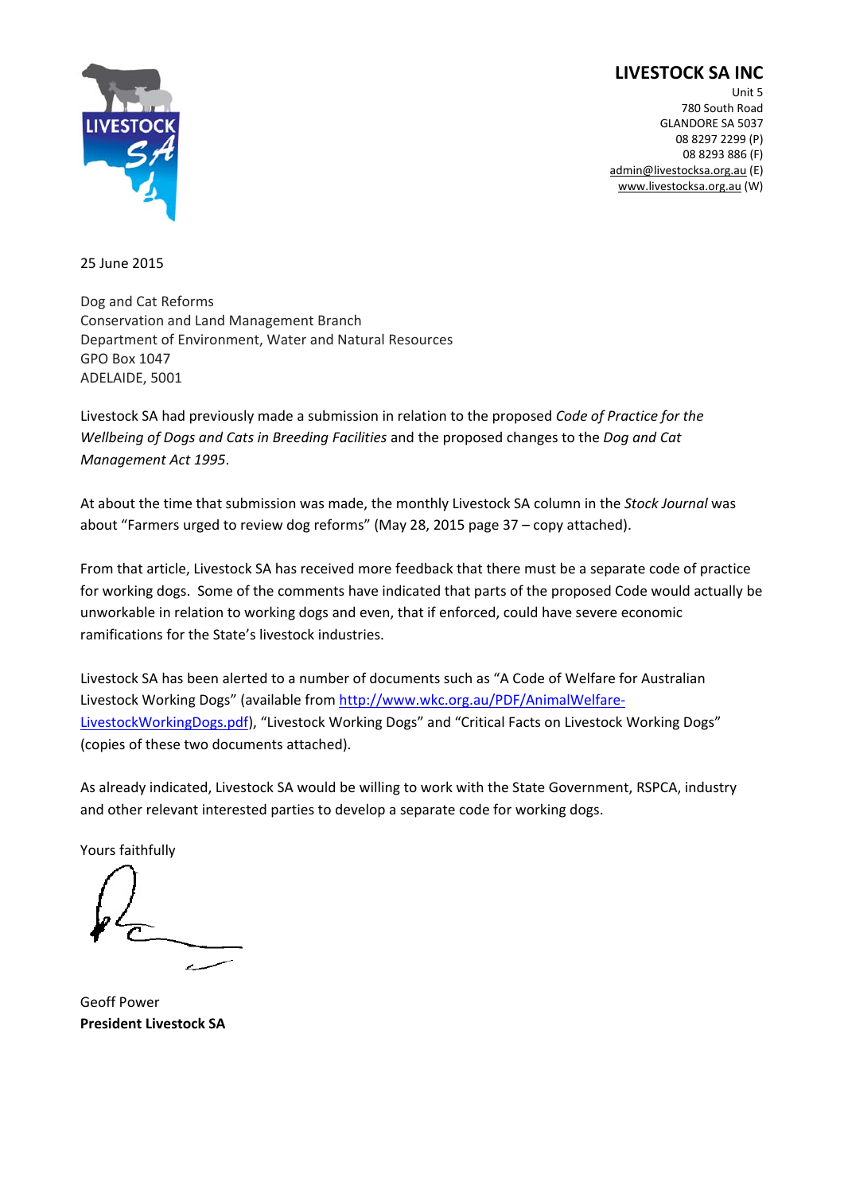# **LIVESTOCK SA INC**



Unit 5 780 South Road GLANDORE SA 5037 08 8297 2299 (P) 08 8293 886 (F) admin@livestocksa.org.au (E) www.livestocksa.org.au (W)

25 June 2015

Dog and Cat Reforms Conservation and Land Management Branch Department of Environment, Water and Natural Resources GPO Box 1047 ADELAIDE, 5001

Livestock SA had previously made a submission in relation to the proposed *Code of Practice for the Wellbeing of Dogs and Cats in Breeding Facilities* and the proposed changes to the *Dog and Cat Management Act 1995*.

At about the time that submission was made, the monthly Livestock SA column in the *Stock Journal* was about "Farmers urged to review dog reforms" (May 28, 2015 page 37 – copy attached).

From that article, Livestock SA has received more feedback that there must be a separate code of practice for working dogs. Some of the comments have indicated that parts of the proposed Code would actually be unworkable in relation to working dogs and even, that if enforced, could have severe economic ramifications for the State's livestock industries.

Livestock SA has been alerted to a number of documents such as "A Code of Welfare for Australian Livestock Working Dogs" (available from http://www.wkc.org.au/PDF/AnimalWelfare-LivestockWorkingDogs.pdf), "Livestock Working Dogs" and "Critical Facts on Livestock Working Dogs" (copies of these two documents attached).

As already indicated, Livestock SA would be willing to work with the State Government, RSPCA, industry and other relevant interested parties to develop a separate code for working dogs.

Yours faithfully

Geoff Power **President Livestock SA**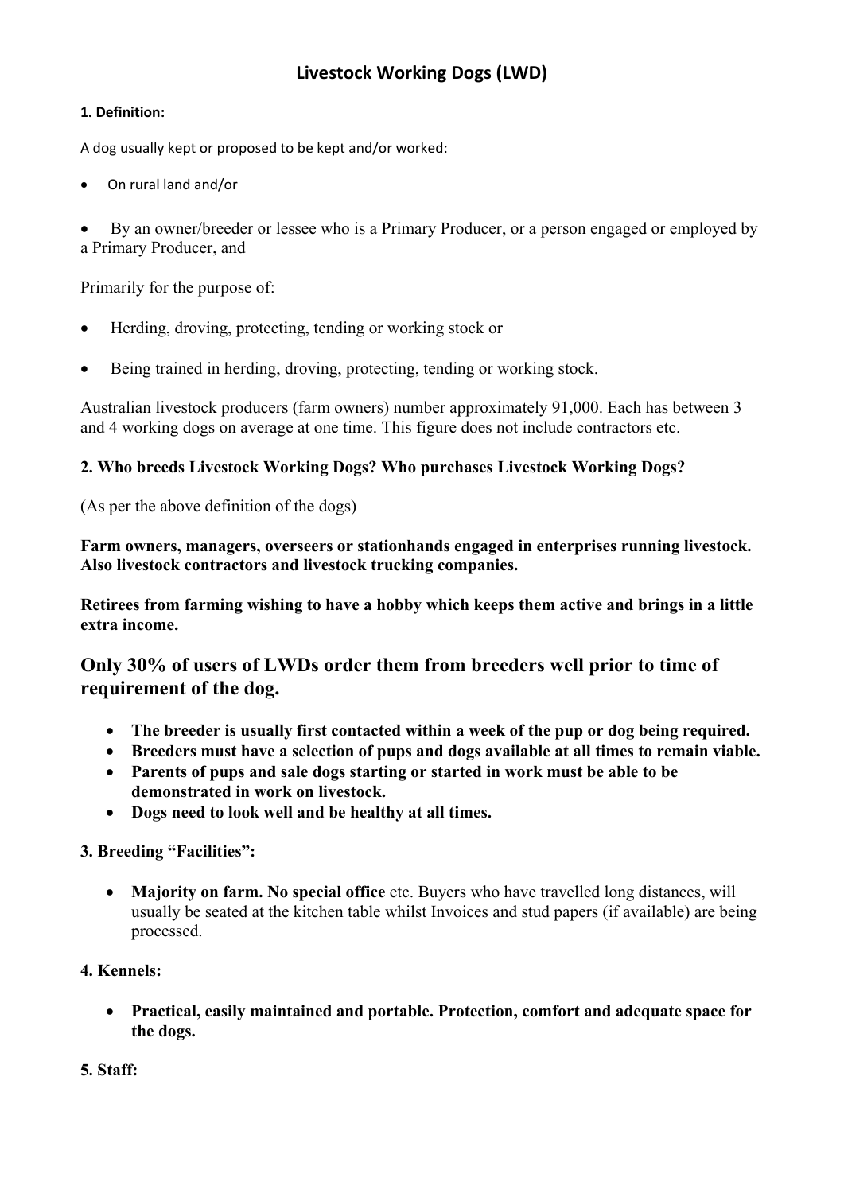# **Livestock Working Dogs (LWD)**

#### **1. Definition:**

A dog usually kept or proposed to be kept and/or worked:

On rural land and/or

 By an owner/breeder or lessee who is a Primary Producer, or a person engaged or employed by a Primary Producer, and

Primarily for the purpose of:

- Herding, droving, protecting, tending or working stock or
- Being trained in herding, droving, protecting, tending or working stock.

Australian livestock producers (farm owners) number approximately 91,000. Each has between 3 and 4 working dogs on average at one time. This figure does not include contractors etc.

#### **2. Who breeds Livestock Working Dogs? Who purchases Livestock Working Dogs?**

(As per the above definition of the dogs)

**Farm owners, managers, overseers or stationhands engaged in enterprises running livestock. Also livestock contractors and livestock trucking companies.** 

**Retirees from farming wishing to have a hobby which keeps them active and brings in a little extra income.** 

# **Only 30% of users of LWDs order them from breeders well prior to time of requirement of the dog.**

- **The breeder is usually first contacted within a week of the pup or dog being required.**
- **Breeders must have a selection of pups and dogs available at all times to remain viable.**
- **Parents of pups and sale dogs starting or started in work must be able to be demonstrated in work on livestock.**
- **Dogs need to look well and be healthy at all times.**

#### **3. Breeding "Facilities":**

 **Majority on farm. No special office** etc. Buyers who have travelled long distances, will usually be seated at the kitchen table whilst Invoices and stud papers (if available) are being processed.

#### **4. Kennels:**

 **Practical, easily maintained and portable. Protection, comfort and adequate space for the dogs.** 

**5. Staff:**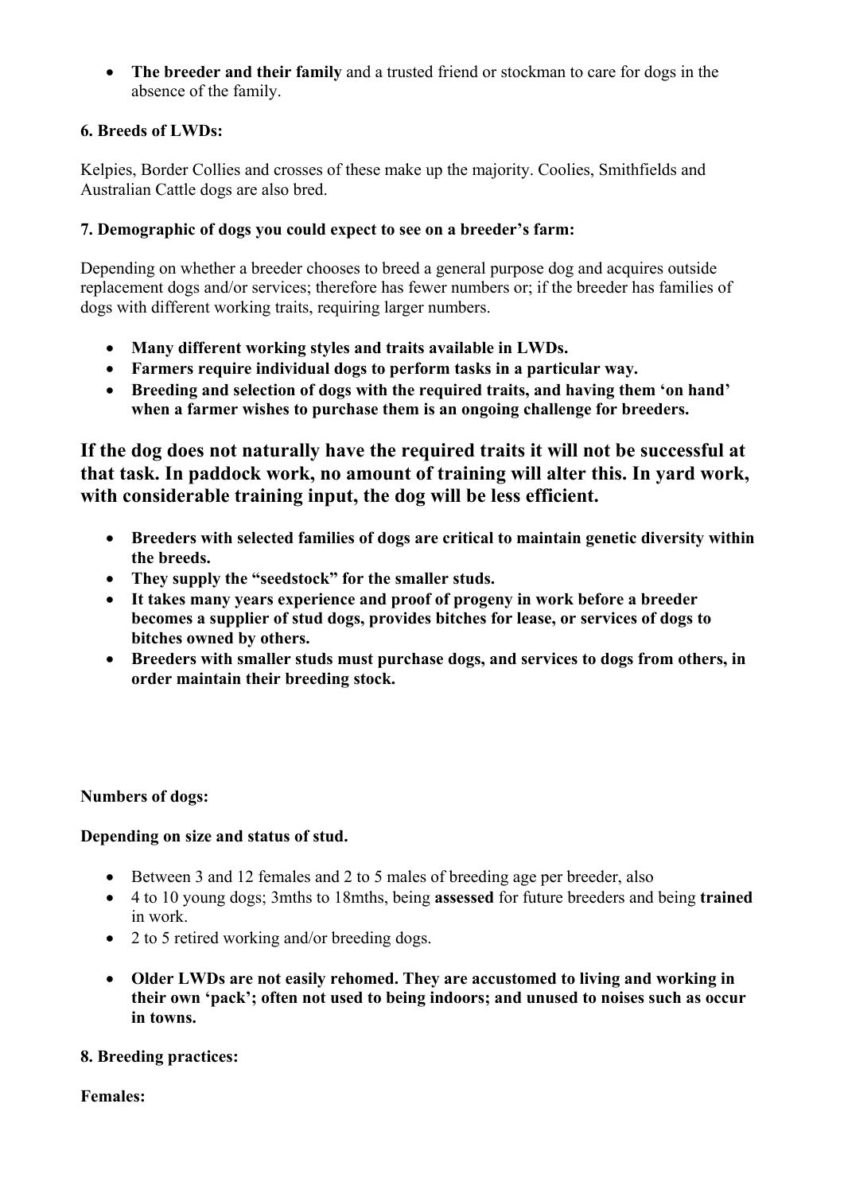**The breeder and their family** and a trusted friend or stockman to care for dogs in the absence of the family.

### **6. Breeds of LWDs:**

Kelpies, Border Collies and crosses of these make up the majority. Coolies, Smithfields and Australian Cattle dogs are also bred.

### **7. Demographic of dogs you could expect to see on a breeder's farm:**

Depending on whether a breeder chooses to breed a general purpose dog and acquires outside replacement dogs and/or services; therefore has fewer numbers or; if the breeder has families of dogs with different working traits, requiring larger numbers.

- **Many different working styles and traits available in LWDs.**
- **Farmers require individual dogs to perform tasks in a particular way.**
- **Breeding and selection of dogs with the required traits, and having them 'on hand' when a farmer wishes to purchase them is an ongoing challenge for breeders.**

**If the dog does not naturally have the required traits it will not be successful at that task. In paddock work, no amount of training will alter this. In yard work, with considerable training input, the dog will be less efficient.** 

- **Breeders with selected families of dogs are critical to maintain genetic diversity within the breeds.**
- **They supply the "seedstock" for the smaller studs.**
- **It takes many years experience and proof of progeny in work before a breeder becomes a supplier of stud dogs, provides bitches for lease, or services of dogs to bitches owned by others.**
- **Breeders with smaller studs must purchase dogs, and services to dogs from others, in order maintain their breeding stock.**

#### **Numbers of dogs:**

#### **Depending on size and status of stud.**

- Between 3 and 12 females and 2 to 5 males of breeding age per breeder, also
- 4 to 10 young dogs; 3mths to 18mths, being **assessed** for future breeders and being **trained** in work.
- 2 to 5 retired working and/or breeding dogs.
- **Older LWDs are not easily rehomed. They are accustomed to living and working in their own 'pack'; often not used to being indoors; and unused to noises such as occur in towns.**

#### **8. Breeding practices:**

**Females:**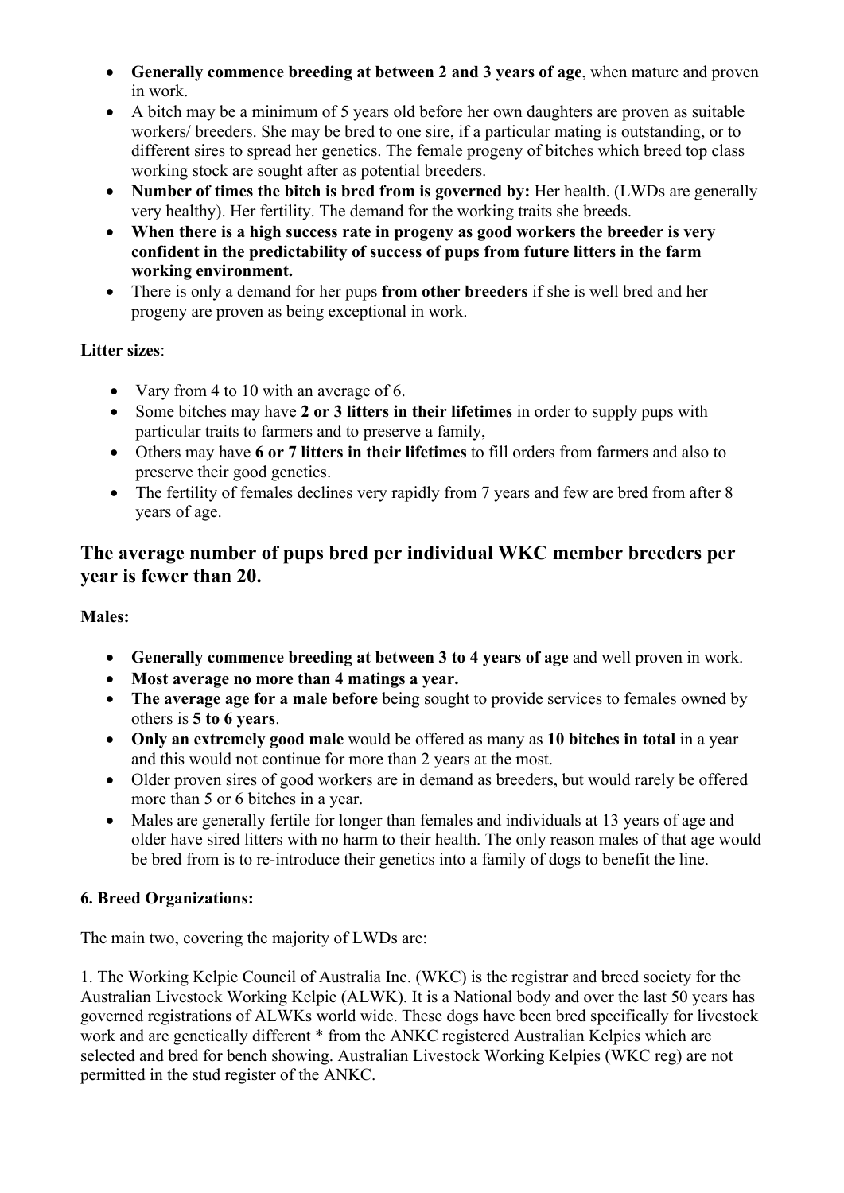- **Generally commence breeding at between 2 and 3 years of age**, when mature and proven in work.
- A bitch may be a minimum of 5 years old before her own daughters are proven as suitable workers/ breeders. She may be bred to one sire, if a particular mating is outstanding, or to different sires to spread her genetics. The female progeny of bitches which breed top class working stock are sought after as potential breeders.
- Number of times the bitch is bred from is governed by: Her health. (LWDs are generally very healthy). Her fertility. The demand for the working traits she breeds.
- **When there is a high success rate in progeny as good workers the breeder is very confident in the predictability of success of pups from future litters in the farm working environment.**
- There is only a demand for her pups **from other breeders** if she is well bred and her progeny are proven as being exceptional in work.

# **Litter sizes**:

- Vary from 4 to 10 with an average of 6.
- Some bitches may have **2 or 3 litters in their lifetimes** in order to supply pups with particular traits to farmers and to preserve a family,
- Others may have **6 or 7 litters in their lifetimes** to fill orders from farmers and also to preserve their good genetics.
- The fertility of females declines very rapidly from 7 years and few are bred from after 8 years of age.

# **The average number of pups bred per individual WKC member breeders per year is fewer than 20.**

# **Males:**

- **Generally commence breeding at between 3 to 4 years of age** and well proven in work.
- **Most average no more than 4 matings a year.**
- **The average age for a male before** being sought to provide services to females owned by others is **5 to 6 years**.
- **Only an extremely good male** would be offered as many as **10 bitches in total** in a year and this would not continue for more than 2 years at the most.
- Older proven sires of good workers are in demand as breeders, but would rarely be offered more than 5 or 6 bitches in a year.
- Males are generally fertile for longer than females and individuals at 13 years of age and older have sired litters with no harm to their health. The only reason males of that age would be bred from is to re-introduce their genetics into a family of dogs to benefit the line.

# **6. Breed Organizations:**

The main two, covering the majority of LWDs are:

1. The Working Kelpie Council of Australia Inc. (WKC) is the registrar and breed society for the Australian Livestock Working Kelpie (ALWK). It is a National body and over the last 50 years has governed registrations of ALWKs world wide. These dogs have been bred specifically for livestock work and are genetically different \* from the ANKC registered Australian Kelpies which are selected and bred for bench showing. Australian Livestock Working Kelpies (WKC reg) are not permitted in the stud register of the ANKC.